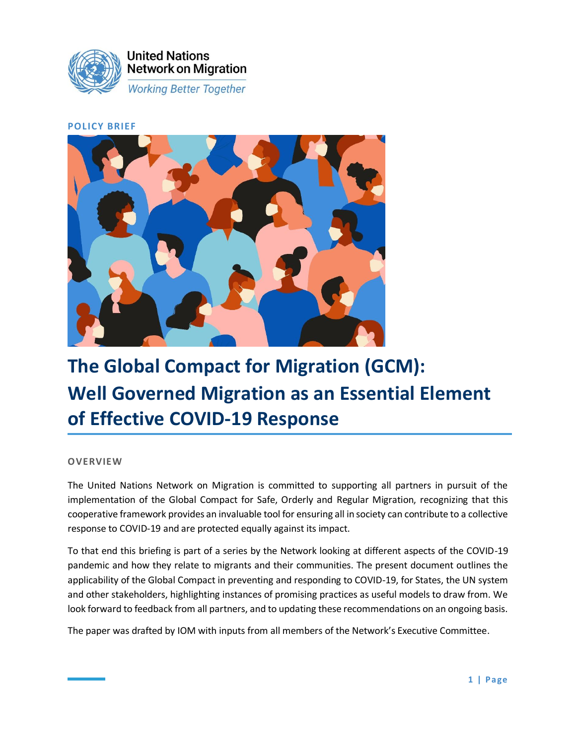

#### **POLICY BRIEF**



# **The Global Compact for Migration (GCM): Well Governed Migration as an Essential Element of Effective COVID-19 Response**

#### **OVERVIEW**

The United Nations Network on Migration is committed to supporting all partners in pursuit of the implementation of the Global Compact for Safe, Orderly and Regular Migration, recognizing that this cooperative framework provides an invaluable tool for ensuring all in society can contribute to a collective response to COVID-19 and are protected equally against its impact.

To that end this briefing is part of a series by the Network looking at different aspects of the COVID-19 pandemic and how they relate to migrants and their communities. The present document outlines the applicability of the Global Compact in preventing and responding to COVID-19, for States, the UN system and other stakeholders, highlighting instances of promising practices as useful models to draw from. We look forward to feedback from all partners, and to updating these recommendations on an ongoing basis.

The paper was drafted by IOM with inputs from all members of the Network's Executive Committee.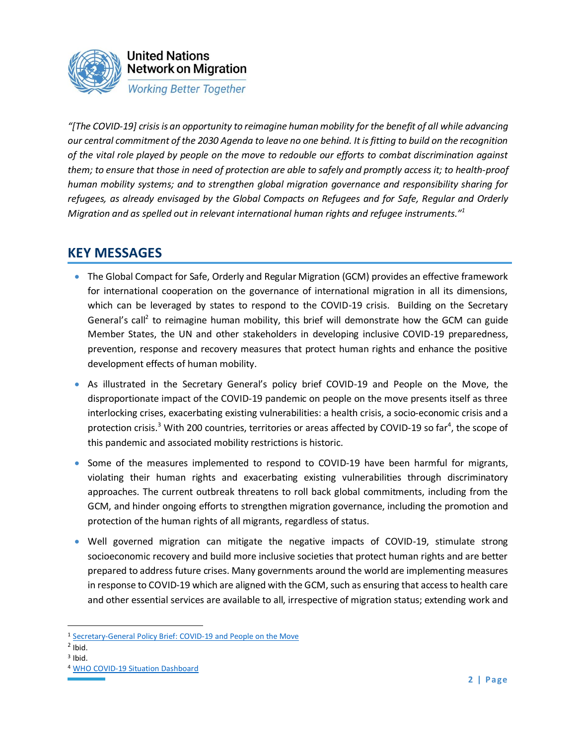

*"[The COVID-19] crisis is an opportunity to reimagine human mobility for the benefit of all while advancing our central commitment of the 2030 Agenda to leave no one behind. It is fitting to build on the recognition of the vital role played by people on the move to redouble our efforts to combat discrimination against them; to ensure that those in need of protection are able to safely and promptly access it; to health-proof human mobility systems; and to strengthen global migration governance and responsibility sharing for refugees, as already envisaged by the Global Compacts on Refugees and for Safe, Regular and Orderly Migration and as spelled out in relevant international human rights and refugee instruments."<sup>1</sup>*

# **KEY MESSAGES**

- The Global Compact for Safe, Orderly and Regular Migration (GCM) provides an effective framework for international cooperation on the governance of international migration in all its dimensions, which can be leveraged by states to respond to the COVID-19 crisis. Building on the Secretary General's call<sup>2</sup> to reimagine human mobility, this brief will demonstrate how the GCM can guide Member States, the UN and other stakeholders in developing inclusive COVID-19 preparedness, prevention, response and recovery measures that protect human rights and enhance the positive development effects of human mobility.
- As illustrated in the Secretary General's policy brief COVID-19 and People on the Move, the disproportionate impact of the COVID-19 pandemic on people on the move presents itself as three interlocking crises, exacerbating existing vulnerabilities: a health crisis, a socio-economic crisis and a protection crisis.<sup>3</sup> With 200 countries, territories or areas affected by COVID-19 so far<sup>4</sup>, the scope of this pandemic and associated mobility restrictions is historic.
- Some of the measures implemented to respond to COVID-19 have been harmful for migrants, violating their human rights and exacerbating existing vulnerabilities through discriminatory approaches. The current outbreak threatens to roll back global commitments, including from the GCM, and hinder ongoing efforts to strengthen migration governance, including the promotion and protection of the human rights of all migrants, regardless of status.
- Well governed migration can mitigate the negative impacts of COVID-19, stimulate strong socioeconomic recovery and build more inclusive societies that protect human rights and are better prepared to address future crises. Many governments around the world are implementing measures in response to COVID-19 which are aligned with the GCM, such as ensuring that access to health care and other essential services are available to all, irrespective of migration status; extending work and

<sup>1</sup> [Secretary-General Policy Brief: COVID-19 and People on the Move](https://www.un.org/en/coronavirus/covid-19-crisis-opportunity-reimagine-human-mobility)

 $<sup>2</sup>$  Ibid.</sup>

<sup>&</sup>lt;sup>3</sup> Ibid.

<sup>4</sup> [WHO COVID-19 Situation Dashboard](https://who.sprinklr.com/)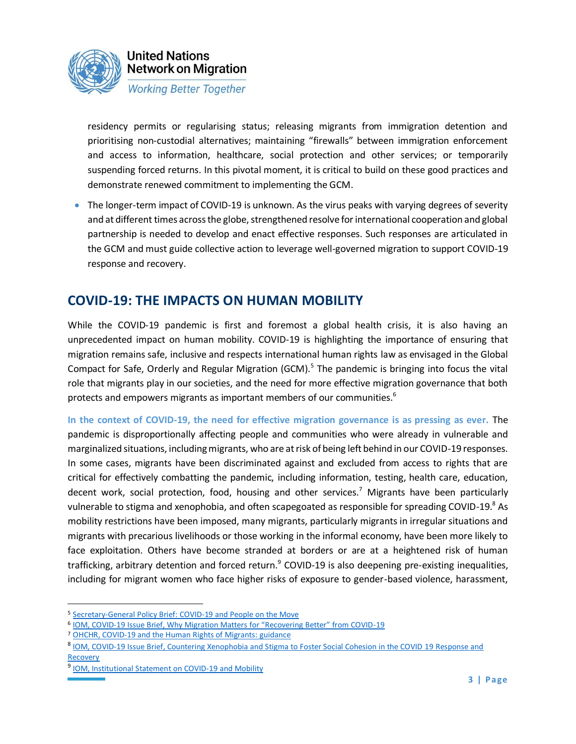

residency permits or regularising status; releasing migrants from immigration detention and prioritising non-custodial alternatives; maintaining "firewalls" between immigration enforcement and access to information, healthcare, social protection and other services; or temporarily suspending forced returns. In this pivotal moment, it is critical to build on these good practices and demonstrate renewed commitment to implementing the GCM.

• The longer-term impact of COVID-19 is unknown. As the virus peaks with varying degrees of severity and at different times across the globe, strengthened resolve for international cooperation and global partnership is needed to develop and enact effective responses. Such responses are articulated in the GCM and must guide collective action to leverage well-governed migration to support COVID-19 response and recovery.

# **COVID-19: THE IMPACTS ON HUMAN MOBILITY**

While the COVID-19 pandemic is first and foremost a global health crisis, it is also having an unprecedented impact on human mobility. COVID-19 is highlighting the importance of ensuring that migration remains safe, inclusive and respects international human rights law as envisaged in the Global Compact for Safe, Orderly and Regular Migration (GCM).<sup>5</sup> The pandemic is bringing into focus the vital role that migrants play in our societies, and the need for more effective migration governance that both protects and empowers migrants as important members of our communities.<sup>6</sup>

**In the context of COVID-19, the need for effective migration governance is as pressing as ever.** The pandemic is disproportionally affecting people and communities who were already in vulnerable and marginalized situations, including migrants, who are at risk of being left behind in our COVID-19 responses. In some cases, migrants have been discriminated against and excluded from access to rights that are critical for effectively combatting the pandemic, including information, testing, health care, education, decent work, social protection, food, housing and other services.<sup>7</sup> Migrants have been particularly vulnerable to stigma and xenophobia, and often scapegoated as responsible for spreading COVID-19.8 As mobility restrictions have been imposed, many migrants, particularly migrants in irregular situations and migrants with precarious livelihoods or those working in the informal economy, have been more likely to face exploitation. Others have become stranded at borders or are at a heightened risk of human trafficking, arbitrary detention and forced return.<sup>9</sup> COVID-19 is also deepening pre-existing inequalities, including for migrant women who face higher risks of exposure to gender-based violence, harassment,

<sup>5</sup> [Secretary-General Policy Brief: COVID-19 and People on the Move](https://www.un.org/en/coronavirus/covid-19-crisis-opportunity-reimagine-human-mobility)

<sup>&</sup>lt;sup>6</sup> **IOM, COVID-[19 Issue Brief, Why Migration Matters for "Recovering Better" from COVID](https://www.iom.int/sites/default/files/documents/issue_brief_why_migration_matters_for_recovering_better.pdf)-19** 

<sup>7</sup> [OHCHR, COVID-19 and the Human Rights of Migrants: guidance](https://www.ohchr.org/Documents/Issues/Migration/OHCHRGuidance_COVID19_Migrants.pdf)

<sup>&</sup>lt;sup>8</sup> [IOM, COVID-19 Issue Brief, Countering Xenophobia and Stigma to Foster Social Cohesion in the COVID](https://www.iom.int/sites/default/files/documents/countering_xenophobia_and_stigma_130720.pdf) 19 Response and **[Recovery](https://www.iom.int/sites/default/files/documents/countering_xenophobia_and_stigma_130720.pdf)** 

<sup>&</sup>lt;sup>9</sup> [IOM, Institutional Statement on COVID-19 and Mobility](https://www.iom.int/sites/default/files/institutional_statement_covid19_28052020.pdf)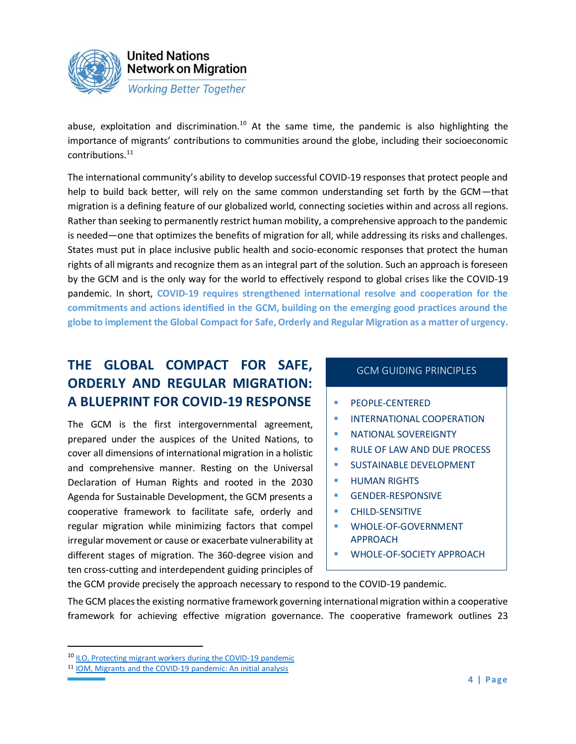

abuse, exploitation and discrimination.<sup>10</sup> At the same time, the pandemic is also highlighting the importance of migrants' contributions to communities around the globe, including their socioeconomic contributions.<sup>11</sup>

The international community's ability to develop successful COVID-19 responses that protect people and help to build back better, will rely on the same common understanding set forth by the GCM—that migration is a defining feature of our globalized world, connecting societies within and across all regions. Rather than seeking to permanently restrict human mobility, a comprehensive approach to the pandemic is needed—one that optimizes the benefits of migration for all, while addressing its risks and challenges. States must put in place inclusive public health and socio-economic responses that protect the human rights of all migrants and recognize them as an integral part of the solution. Such an approach is foreseen by the GCM and is the only way for the world to effectively respond to global crises like the COVID-19 pandemic. In short, **COVID-19 requires strengthened international resolve and cooperation for the commitments and actions identified in the GCM, building on the emerging good practices around the globe to implement the Global Compact for Safe, Orderly and Regular Migration as a matter of urgency.**

# **THE GLOBAL COMPACT FOR SAFE, ORDERLY AND REGULAR MIGRATION: A BLUEPRINT FOR COVID-19 RESPONSE**

The GCM is the first intergovernmental agreement, prepared under the auspices of the United Nations, to cover all dimensions of international migration in a holistic and comprehensive manner. Resting on the Universal Declaration of Human Rights and rooted in the 2030 Agenda for Sustainable Development, the GCM presents a cooperative framework to facilitate safe, orderly and regular migration while minimizing factors that compel irregular movement or cause or exacerbate vulnerability at different stages of migration. The 360-degree vision and ten cross-cutting and interdependent guiding principles of

#### GCM GUIDING PRINCIPLES

- *■* PEOPLE-CENTERED
- **INTERNATIONAL COOPERATION**
- **E** NATIONAL SOVEREIGNTY
- RULE OF LAW AND DUE PROCESS
- **SUSTAINABLE DEVELOPMENT**
- **· HUMAN RIGHTS**
- **GENDER-RESPONSIVE**
- CHILD-SENSITIVE
- WHOLE-OF-GOVERNMENT APPROACH
- WHOLE-OF-SOCIETY APPROACH

the GCM provide precisely the approach necessary to respond to the COVID-19 pandemic.

The GCM places the existing normative framework governing international migration within a cooperative framework for achieving effective migration governance. The cooperative framework outlines 23

<sup>&</sup>lt;sup>10</sup> [ILO, Protecting migrant workers during the COVID-19 pandemic](https://www.ilo.org/global/topics/labour-migration/publications/WCMS_743268/lang--en/index.htm)

<sup>11</sup> [IOM, Migrants and the COVID-19 pandemic: An initial analysis](https://publications.iom.int/system/files/pdf/mrs-60.pdf)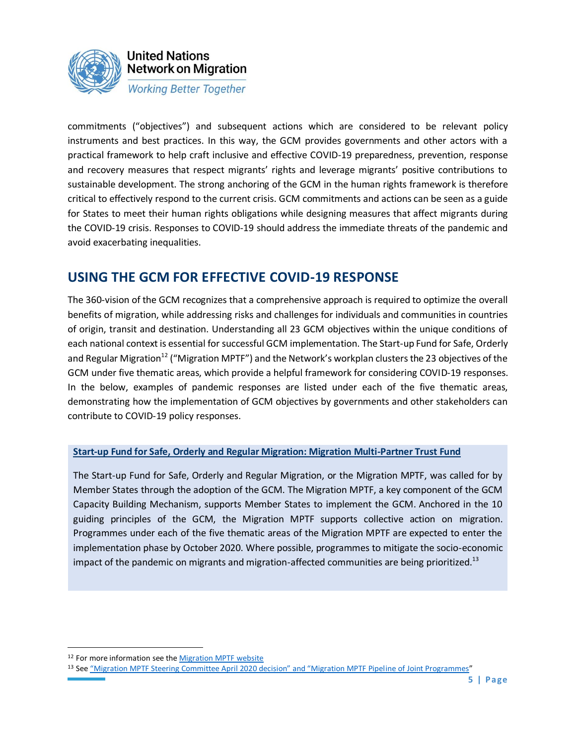

commitments ("objectives") and subsequent actions which are considered to be relevant policy instruments and best practices. In this way, the GCM provides governments and other actors with a practical framework to help craft inclusive and effective COVID-19 preparedness, prevention, response and recovery measures that respect migrants' rights and leverage migrants' positive contributions to sustainable development. The strong anchoring of the GCM in the human rights framework is therefore critical to effectively respond to the current crisis. GCM commitments and actions can be seen as a guide for States to meet their human rights obligations while designing measures that affect migrants during the COVID-19 crisis. Responses to COVID-19 should address the immediate threats of the pandemic and avoid exacerbating inequalities.

### **USING THE GCM FOR EFFECTIVE COVID-19 RESPONSE**

The 360-vision of the GCM recognizes that a comprehensive approach is required to optimize the overall benefits of migration, while addressing risks and challenges for individuals and communities in countries of origin, transit and destination. Understanding all 23 GCM objectives within the unique conditions of each national context is essential for successful GCM implementation. The Start-up Fund for Safe, Orderly and Regular Migration<sup>12</sup> ("Migration MPTF") and the Network's workplan clusters the 23 objectives of the GCM under five thematic areas, which provide a helpful framework for considering COVID-19 responses. In the below, examples of pandemic responses are listed under each of the five thematic areas, demonstrating how the implementation of GCM objectives by governments and other stakeholders can contribute to COVID-19 policy responses.

#### **[Start-up Fund for Safe, Orderly and Regular Migration: Migration Multi-Partner Trust Fund](http://mptf.undp.org/factsheet/fund/MIG00)**

The Start-up Fund for Safe, Orderly and Regular Migration, or the Migration MPTF, was called for by Member States through the adoption of the GCM. The Migration MPTF, a key component of the GCM Capacity Building Mechanism, supports Member States to implement the GCM. Anchored in the 10 guiding principles of the GCM, the Migration MPTF supports collective action on migration. Programmes under each of the five thematic areas of the Migration MPTF are expected to enter the implementation phase by October 2020. Where possible, programmes to mitigate the socio-economic impact of the pandemic on migrants and migration-affected communities are being prioritized.<sup>13</sup>

<sup>&</sup>lt;sup>12</sup> For more information see th[e Migration MPTF website](http://mptf.undp.org/factsheet/fund/MIG00)

<sup>13</sup> See ["Migration MPTF Steering Committee April 2020 decision" and "Migration MPTF Pipel](http://mptf.undp.org/factsheet/fund/MIG00)ine of Joint Programmes"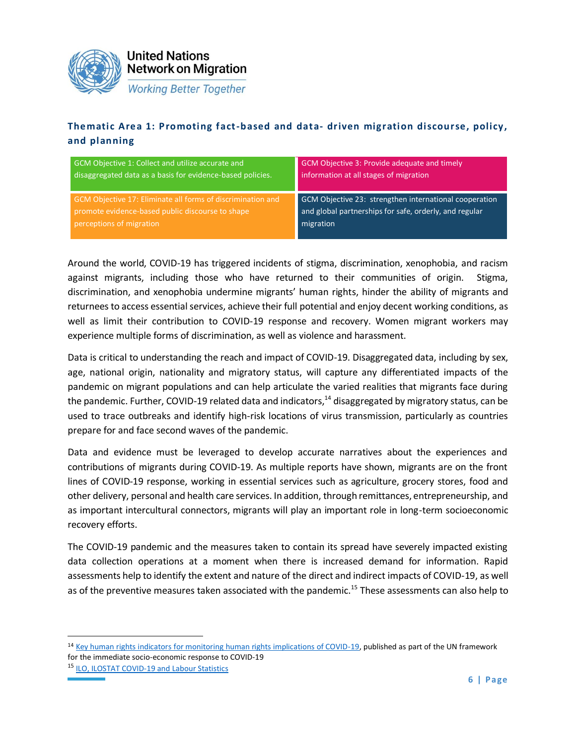

### **Thematic Area 1: Promoting fact-based and data- driven migration discourse, policy, and planning**

| GCM Objective 1: Collect and utilize accurate and           | GCM Objective 3: Provide adequate and timely           |
|-------------------------------------------------------------|--------------------------------------------------------|
| disaggregated data as a basis for evidence-based policies.  | information at all stages of migration                 |
| GCM Objective 17: Eliminate all forms of discrimination and | GCM Objective 23: strengthen international cooperation |
| promote evidence-based public discourse to shape            | and global partnerships for safe, orderly, and regular |
| perceptions of migration                                    | migration                                              |

Around the world, COVID-19 has triggered incidents of stigma, discrimination, xenophobia, and racism against migrants, including those who have returned to their communities of origin. Stigma, discrimination, and xenophobia undermine migrants' human rights, hinder the ability of migrants and returnees to access essential services, achieve their full potential and enjoy decent working conditions, as well as limit their contribution to COVID-19 response and recovery. Women migrant workers may experience multiple forms of discrimination, as well as violence and harassment.

Data is critical to understanding the reach and impact of COVID-19. Disaggregated data, including by sex, age, national origin, nationality and migratory status, will capture any differentiated impacts of the pandemic on migrant populations and can help articulate the varied realities that migrants face during the pandemic. Further, COVID-19 related data and indicators, $14$  disaggregated by migratory status, can be used to trace outbreaks and identify high-risk locations of virus transmission, particularly as countries prepare for and face second waves of the pandemic.

Data and evidence must be leveraged to develop accurate narratives about the experiences and contributions of migrants during COVID-19. As multiple reports have shown, migrants are on the front lines of COVID-19 response, working in essential services such as agriculture, grocery stores, food and other delivery, personal and health care services. In addition, through remittances, entrepreneurship, and as important intercultural connectors, migrants will play an important role in long-term socioeconomic recovery efforts.

The COVID-19 pandemic and the measures taken to contain its spread have severely impacted existing data collection operations at a moment when there is increased demand for information. Rapid assessments help to identify the extent and nature of the direct and indirect impacts of COVID-19, as well as of the preventive measures taken associated with the pandemic.<sup>15</sup> These assessments can also help to

<sup>&</sup>lt;sup>14</sup> [Key human rights indicators for monitoring human rights implications of COVID-19,](https://unsdg.un.org/sites/default/files/2020-04/UN-framework-for-the-immediate-socio-economic-response-to-COVID-19.pdf) published as part of the UN framework for the immediate socio-economic response to COVID-19

<sup>15</sup> [ILO, ILOSTAT COVID-19 and Labour Statistics](https://ilostat.ilo.org/topics/covid-19/)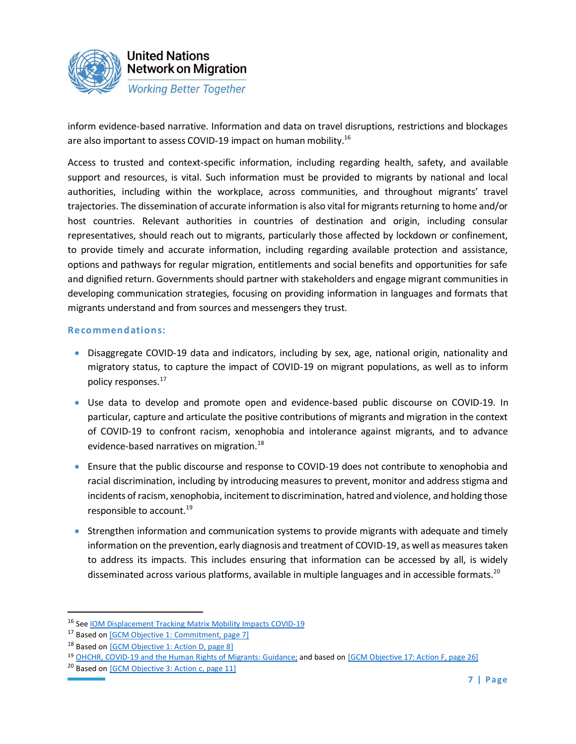

inform evidence-based narrative. Information and data on travel disruptions, restrictions and blockages are also important to assess COVID-19 impact on human mobility.<sup>16</sup>

Access to trusted and context-specific information, including regarding health, safety, and available support and resources, is vital. Such information must be provided to migrants by national and local authorities, including within the workplace, across communities, and throughout migrants' travel trajectories. The dissemination of accurate information is also vital for migrants returning to home and/or host countries. Relevant authorities in countries of destination and origin, including consular representatives, should reach out to migrants, particularly those affected by lockdown or confinement, to provide timely and accurate information, including regarding available protection and assistance, options and pathways for regular migration, entitlements and social benefits and opportunities for safe and dignified return. Governments should partner with stakeholders and engage migrant communities in developing communication strategies, focusing on providing information in languages and formats that migrants understand and from sources and messengers they trust.

- Disaggregate COVID-19 data and indicators, including by sex, age, national origin, nationality and migratory status, to capture the impact of COVID-19 on migrant populations, as well as to inform policy responses.<sup>1[7](https://migrationnetwork.un.org/sites/default/files/docs/gcm-n1845199.pdf)</sup>
- Use data to develop and promote open and evidence-based public discourse on COVID-19. In particular, capture and articulate the positive contributions of migrants and migration in the context of COVID-19 to confront racism, xenophobia and intolerance against migrants, and to advance evidence-based narratives on migration.<sup>18</sup>
- Ensure that the public discourse and response to COVID-19 does not contribute to xenophobia and racial discrimination, including by introducing measures to prevent, monitor and address stigma and incidents of racism, xenophobia, incitement to discrimination, hatred and violence, and holding those responsible to account.<sup>19</sup>
- Strengthen information and communication systems to provide migrants with adequate and timely information on the prevention, early diagnosis and treatment of COVID-19, as well as measures taken to address its impacts. This includes ensuring that information can be accessed by all, is widely disseminated across various platforms, available in multiple languages and in accessible formats.<sup>20</sup>

<sup>16</sup> See [IOM Displacement Tracking Matrix Mobility Impacts COVID-19](https://migration.iom.int/)

<sup>&</sup>lt;sup>17</sup> Based o[n \[GCM Objective 1: Commitment, page 7\]](https://migrationnetwork.un.org/sites/default/files/docs/gcm-n1845199.pdf)

<sup>&</sup>lt;sup>18</sup> Based on [\[GCM Objective 1: Action D, page 8\]](https://migrationnetwork.un.org/sites/default/files/docs/gcm-n1845199.pdf)

<sup>19</sup> [OHCHR, COVID-19 and the Human Rights of Migrants: Guidance;](https://www.ohchr.org/Documents/Issues/Migration/OHCHRGuidance_COVID19_Migrants.pdf) and based on [\[GCM Objective 17: Action F, page 26\]](https://migrationnetwork.un.org/sites/default/files/docs/gcm-n1845199.pdf)

<sup>&</sup>lt;sup>20</sup> Based on  $[GCM$  Objective 3: Action c, page 11]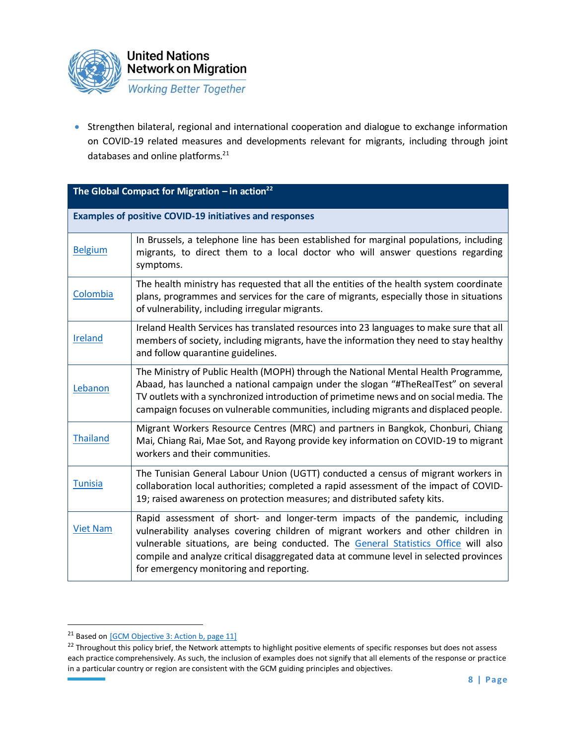

• Strengthen bilateral, regional and international cooperation and dialogue to exchange information on COVID-19 related measures and developments relevant for migrants, including through joint databases and online platforms.<sup>21</sup>

| The Global Compact for Migration $-$ in action <sup>22</sup> |                                                                                                                                                                                                                                                                                                                                                                                                |  |
|--------------------------------------------------------------|------------------------------------------------------------------------------------------------------------------------------------------------------------------------------------------------------------------------------------------------------------------------------------------------------------------------------------------------------------------------------------------------|--|
|                                                              | <b>Examples of positive COVID-19 initiatives and responses</b>                                                                                                                                                                                                                                                                                                                                 |  |
| <b>Belgium</b>                                               | In Brussels, a telephone line has been established for marginal populations, including<br>migrants, to direct them to a local doctor who will answer questions regarding<br>symptoms.                                                                                                                                                                                                          |  |
| Colombia                                                     | The health ministry has requested that all the entities of the health system coordinate<br>plans, programmes and services for the care of migrants, especially those in situations<br>of vulnerability, including irregular migrants.                                                                                                                                                          |  |
| Ireland                                                      | Ireland Health Services has translated resources into 23 languages to make sure that all<br>members of society, including migrants, have the information they need to stay healthy<br>and follow quarantine guidelines.                                                                                                                                                                        |  |
| Lebanon                                                      | The Ministry of Public Health (MOPH) through the National Mental Health Programme,<br>Abaad, has launched a national campaign under the slogan "#TheRealTest" on several<br>TV outlets with a synchronized introduction of primetime news and on social media. The<br>campaign focuses on vulnerable communities, including migrants and displaced people.                                     |  |
| <b>Thailand</b>                                              | Migrant Workers Resource Centres (MRC) and partners in Bangkok, Chonburi, Chiang<br>Mai, Chiang Rai, Mae Sot, and Rayong provide key information on COVID-19 to migrant<br>workers and their communities.                                                                                                                                                                                      |  |
| <b>Tunisia</b>                                               | The Tunisian General Labour Union (UGTT) conducted a census of migrant workers in<br>collaboration local authorities; completed a rapid assessment of the impact of COVID-<br>19; raised awareness on protection measures; and distributed safety kits.                                                                                                                                        |  |
| <b>Viet Nam</b>                                              | Rapid assessment of short- and longer-term impacts of the pandemic, including<br>vulnerability analyses covering children of migrant workers and other children in<br>vulnerable situations, are being conducted. The General Statistics Office will also<br>compile and analyze critical disaggregated data at commune level in selected provinces<br>for emergency monitoring and reporting. |  |

<sup>&</sup>lt;sup>21</sup> Based on [\[GCM Objective 3: Action b, page 11\]](https://migrationnetwork.un.org/sites/default/files/docs/gcm-n1845199.pdf)

<sup>&</sup>lt;sup>22</sup> Throughout this policy brief, the Network attempts to highlight positive elements of specific responses but does not assess each practice comprehensively. As such, the inclusion of examples does not signify that all elements of the response or practice in a particular country or region are consistent with the GCM guiding principles and objectives.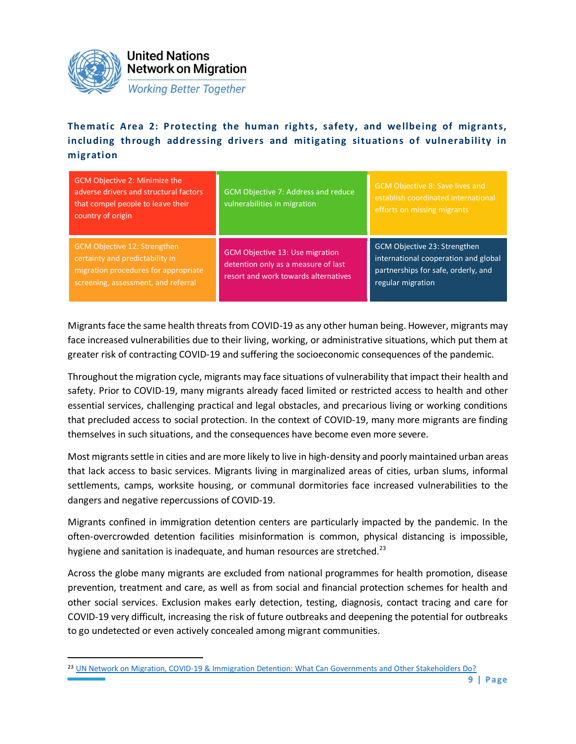

**Thematic Area 2: Protecting the human rights, safety, and wellbeing of migrants, including through addressing drivers and mitigating situations of vulnerability in migration** 

| GCM Objective 2: Minimize the<br>adverse drivers and structural factors<br>that compel people to leave their<br>country of origin              | GCM Objective 7: Address and reduce<br>vulnerabilities in migration                                                   | <b>GCM Objective 8: Save lives and</b><br>establish coordinated international<br>efforts on missing migrants                     |
|------------------------------------------------------------------------------------------------------------------------------------------------|-----------------------------------------------------------------------------------------------------------------------|----------------------------------------------------------------------------------------------------------------------------------|
| GCM Objective 12: Strengthen<br>certainty and predictability in<br>migration procedures for appropriate<br>screening, assessment, and referral | <b>GCM Objective 13: Use migration</b><br>detention only as a measure of last<br>resort and work towards alternatives | GCM Objective 23: Strengthen<br>international cooperation and global<br>partnerships for safe, orderly, and<br>regular migration |

Migrants face the same health threats from COVID-19 as any other human being. However, migrants may face increased vulnerabilities due to their living, working, or administrative situations, which put them at greater risk of contracting COVID-19 and suffering the socioeconomic consequences of the pandemic.

Throughout the migration cycle, migrants may face situations of vulnerability that impact their health and safety. Prior to COVID-19, many migrants already faced limited or restricted access to health and other essential services, challenging practical and legal obstacles, and precarious living or working conditions that precluded access to social protection. In the context of COVID-19, many more migrants are finding themselves in such situations, and the consequences have become even more severe.

Most migrants settle in cities and are more likely to live in high-density and poorly maintained urban areas that lack access to basic services. Migrants living in marginalized areas of cities, urban slums, informal settlements, camps, worksite housing, or communal dormitories face increased vulnerabilities to the dangers and negative repercussions of COVID-19.

Migrants confined in immigration detention centers are particularly impacted by the pandemic. In the often-overcrowded detention facilities misinformation is common, physical distancing is impossible, hygiene and sanitation is inadequate, and human resources are stretched.<sup>23</sup>

Across the globe many migrants are excluded from national programmes for health promotion, disease prevention, treatment and care, as well as from social and financial protection schemes for health and other social services. Exclusion makes early detection, testing, diagnosis, contact tracing and care for COVID-19 very difficult, increasing the risk of future outbreaks and deepening the potential for outbreaks to go undetected or even actively concealed among migrant communities.

<sup>&</sup>lt;sup>23</sup> [UN Network on Migration, COVID-19 & Immigration Detention: What Can Governments and Other Stakeholders Do?](https://migrationnetwork.un.org/sites/default/files/docs/un_network_on_migration_wg_atd_policy_brief_covid-19_and_immigration_detention_0.pdf)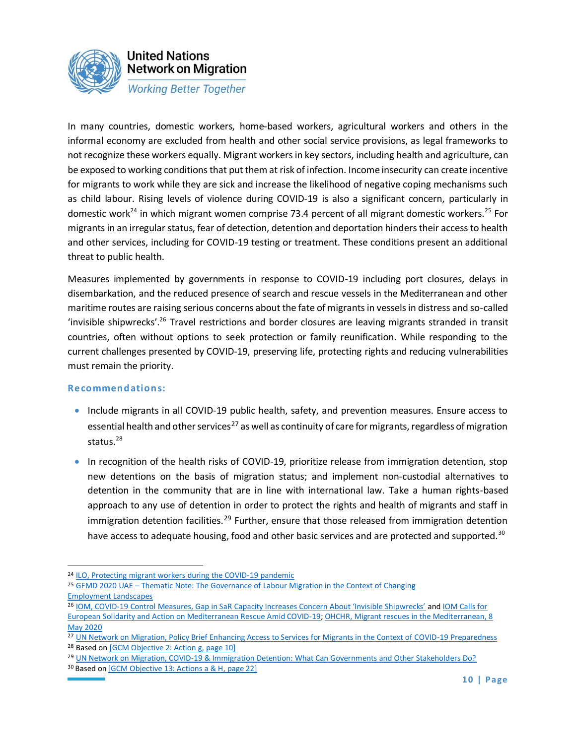

In many countries, domestic workers, home-based workers, agricultural workers and others in the informal economy are excluded from health and other social service provisions, as legal frameworks to not recognize these workers equally. Migrant workers in key sectors, including health and agriculture, can be exposed to working conditions that put them at risk of infection. Income insecurity can create incentive for migrants to work while they are sick and increase the likelihood of negative coping mechanisms such as child labour. Rising levels of violence during COVID-19 is also a significant concern, particularly in domestic work<sup>24</sup> in which migrant women comprise 73.4 percent of all migrant domestic workers.<sup>25</sup> For migrants in an irregular status, fear of detection, detention and deportation hinders their access to health and other services, including for COVID-19 testing or treatment. These conditions present an additional threat to public health.

Measures implemented by governments in response to COVID-19 including port closures, delays in disembarkation, and the reduced presence of search and rescue vessels in the Mediterranean and other maritime routes are raising serious concerns about the fate of migrants in vessels in distress and so-called 'invisible shipwrecks'.<sup>26</sup> Travel restrictions and border closures are leaving migrants stranded in transit countries, often without options to seek protection or family reunification. While responding to the current challenges presented by COVID-19, preserving life, protecting rights and reducing vulnerabilities must remain the priority.

- Include migrants in all COVID-19 public health, safety, and prevention measures. Ensure access to essential health and other services<sup>27</sup> as well as continuity of care for migrants, regardless of migration status. $28$
- In recognition of the health risks of COVID-19, prioritize release from immigration detention, stop new detentions on the basis of migration status; and implement non-custodial alternatives to detention in the community that are in line with international law. Take a human rights-based approach to any use of detention in order to protect the rights and health of migrants and staff in immigration detention facilities.<sup>29</sup> Further, ensure that those released from immigration detention have access to adequate housing, food and other basic services and are protected and supported.<sup>30</sup>

<sup>&</sup>lt;sup>24</sup> [ILO, Protecting migrant workers during the COVID-19 pandemic](https://www.ilo.org/global/topics/labour-migration/publications/WCMS_743268/lang--en/index.htm)

<sup>25</sup> GFMD 2020 UAE – [Thematic Note: The Governance of Labour Migration in the Context of Changing](https://www.gfmd.org/gfmd-2020-regional-consultations-thematic-note-governance-labour-migration-context-changing) [Employment Landscapes](https://www.gfmd.org/gfmd-2020-regional-consultations-thematic-note-governance-labour-migration-context-changing)

<sup>26</sup> IOM, COVID-[19 Control Measures, Gap in SaR Capacity Increases Concern About 'Invisible Shipwrecks'](https://www.iom.int/news/covid-19-control-measures-gap-sar-capacity-increases-concern-about-invisible-shipwrecks) an[d IOM Calls for](https://www.iom.int/news/iom-calls-european-solidarity-and-action-mediterranean-rescue-amid-covid-19)  [European Solidarity and Action on Mediterranean Rescue Amid COVID-19;](https://www.iom.int/news/iom-calls-european-solidarity-and-action-mediterranean-rescue-amid-covid-19) [OHCHR, Migrant rescues in the Mediterranean, 8](https://www.ohchr.org/EN/NewsEvents/Pages/DisplayNews.aspx?NewsID=25875&LangID=E)  [May 2020](https://www.ohchr.org/EN/NewsEvents/Pages/DisplayNews.aspx?NewsID=25875&LangID=E)

<sup>27</sup> [UN Network on Migration, Policy Brief Enhancing Access to Services for Migrants in the Context of COVID-19 Preparedness](https://migrationnetwork.un.org/sites/default/files/docs/final_network_wg_policy_brief_covid-19_and_access_to_services_1.pdf) <sup>28</sup> Based on [\[GCM Objective 2: Action g, page 10\]](https://migrationnetwork.un.org/sites/default/files/docs/gcm-n1845199.pdf)

<sup>&</sup>lt;sup>29</sup> [UN Network on Migration, COVID-19 & Immigration Detention: What Can Governments and Other Stakeholders Do?](https://migrationnetwork.un.org/sites/default/files/docs/un_network_on_migration_wg_atd_policy_brief_covid-19_and_immigration_detention_0.pdf)

<sup>&</sup>lt;sup>30</sup> Based on [\[GCM Objective 13: Actions a & H, page 22\]](https://migrationnetwork.un.org/sites/default/files/docs/gcm-n1845199.pdf)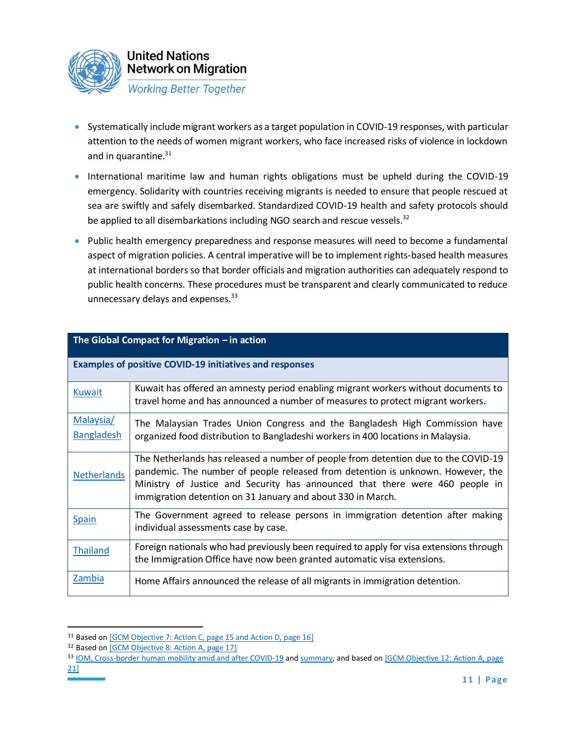

- Systematically include migrant workers as a target population in COVID-19 responses, with particular attention to the needs of women migrant workers, who face increased risks of violence in lockdown and in quarantine.<sup>31</sup>
- International maritime law and human rights obligations must be upheld during the COVID-19 emergency. Solidarity with countries receiving migrants is needed to ensure that people rescued at sea are swiftly and safely disembarked. Standardized COVID-19 health and safety protocols should be applied to all disembarkations including NGO search and rescue vessels. $32$
- Public health emergency preparedness and response measures will need to become a fundamental aspect of migration policies. A central imperative will be to implement rights-based health measures at international borders so that border officials and migration authorities can adequately respond to public health concerns. These procedures must be transparent and clearly communicated to reduce unnecessary delays and expenses.<sup>33</sup>

| The Global Compact for Migration $-$ in action |                                                                                                                                                                                                                                                                                                                      |  |
|------------------------------------------------|----------------------------------------------------------------------------------------------------------------------------------------------------------------------------------------------------------------------------------------------------------------------------------------------------------------------|--|
|                                                | <b>Examples of positive COVID-19 initiatives and responses</b>                                                                                                                                                                                                                                                       |  |
| <b>Kuwait</b>                                  | Kuwait has offered an amnesty period enabling migrant workers without documents to<br>travel home and has announced a number of measures to protect migrant workers.                                                                                                                                                 |  |
| Malaysia/<br><b>Bangladesh</b>                 | The Malaysian Trades Union Congress and the Bangladesh High Commission have<br>organized food distribution to Bangladeshi workers in 400 locations in Malaysia.                                                                                                                                                      |  |
| <b>Netherlands</b>                             | The Netherlands has released a number of people from detention due to the COVID-19<br>pandemic. The number of people released from detention is unknown. However, the<br>Ministry of Justice and Security has announced that there were 460 people in<br>immigration detention on 31 January and about 330 in March. |  |
| Spain                                          | The Government agreed to release persons in immigration detention after making<br>individual assessments case by case.                                                                                                                                                                                               |  |
| <b>Thailand</b>                                | Foreign nationals who had previously been required to apply for visa extensions through<br>the Immigration Office have now been granted automatic visa extensions.                                                                                                                                                   |  |
| Zambia                                         | Home Affairs announced the release of all migrants in immigration detention.                                                                                                                                                                                                                                         |  |

<sup>&</sup>lt;sup>31</sup> Based on [\[GCM Objective 7: Action C, page 15 and Action D, page 16\]](https://migrationnetwork.un.org/sites/default/files/docs/gcm-n1845199.pdf)

<sup>&</sup>lt;sup>32</sup> Based on [\[GCM Objective 8: Action A, page 17\]](https://migrationnetwork.un.org/sites/default/files/docs/gcm-n1845199.pdf)

<sup>33</sup> [IOM, Cross-border human mobility amid and after COVID-19](https://www.iom.int/sites/default/files/defaul/pp_cross-border_human_mobility_amid_and_after_covid-19_policy.pdf) an[d summary,](https://www.iom.int/sites/default/files/documents/issue_brief_cross-border-mobility_summary.pdf) and based on [GCM Objective 12: Action A, page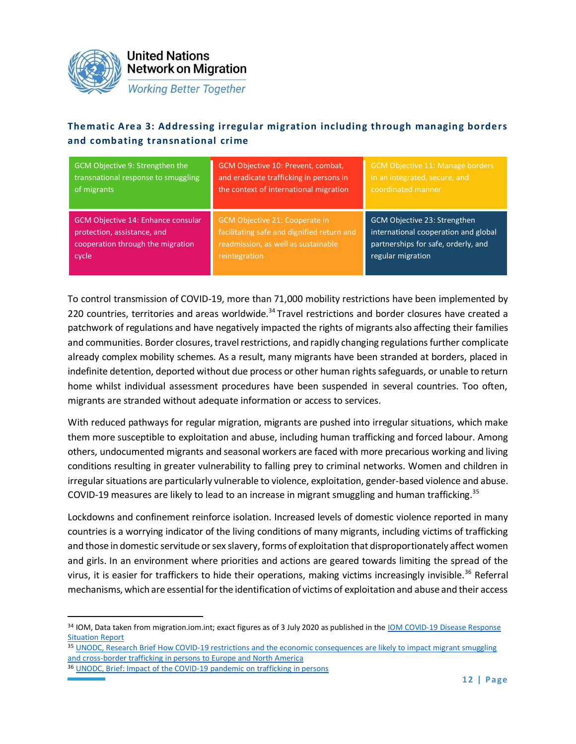

**United Nations Network on Migration** 

**Working Better Together** 

### **Thematic Area 3: Addressing irregular migration including through managing borders and combating transnational crime**

| GCM Objective 9: Strengthen the     | GCM Objective 10: Prevent, combat,         | <b>GCM Objective 11: Manage borders</b> |
|-------------------------------------|--------------------------------------------|-----------------------------------------|
| transnational response to smuggling | and eradicate trafficking in persons in    | in an integrated, secure, and           |
| of migrants                         | the context of international migration     | coordinated manner                      |
| GCM Objective 14: Enhance consular  | GCM Objective 21: Cooperate in             | GCM Objective 23: Strengthen            |
| protection, assistance, and         | facilitating safe and dignified return and | international cooperation and global    |
| cooperation through the migration   | readmission, as well as sustainable        | partnerships for safe, orderly, and     |
| cycle                               | reintegration                              | regular migration                       |

To control transmission of COVID-19, more than 71,000 mobility restrictions have been implemented by 220 countries, territories and areas worldwide.<sup>34</sup> Travel restrictions and border closures have created a patchwork of regulations and have negatively impacted the rights of migrants also affecting their families and communities. Border closures, travel restrictions, and rapidly changing regulations further complicate already complex mobility schemes. As a result, many migrants have been stranded at borders, placed in indefinite detention, deported without due process or other human rights safeguards, or unable to return home whilst individual assessment procedures have been suspended in several countries. Too often, migrants are stranded without adequate information or access to services.

With reduced pathways for regular migration, migrants are pushed into irregular situations, which make them more susceptible to exploitation and abuse, including human trafficking and forced labour. Among others, undocumented migrants and seasonal workers are faced with more precarious working and living conditions resulting in greater vulnerability to falling prey to criminal networks. Women and children in irregular situations are particularly vulnerable to violence, exploitation, gender-based violence and abuse. COVID-19 measures are likely to lead to an increase in migrant smuggling and human trafficking.<sup>35</sup>

Lockdowns and confinement reinforce isolation. Increased levels of domestic violence reported in many countries is a worrying indicator of the living conditions of many migrants, including victims of trafficking and those in domestic servitude or sex slavery, forms of exploitation that disproportionately affect women and girls. In an environment where priorities and actions are geared towards limiting the spread of the virus, it is easier for traffickers to hide their operations, making victims increasingly invisible.<sup>36</sup> Referral mechanisms, which are essential for the identification of victims of exploitation and abuse and their access

<sup>34</sup> IOM, Data taken from migration.iom.int; exact figures as of 3 July 2020 as published in th[e IOM COVID-19 Disease Response](https://migration.iom.int/reports/iom-covid-19-response-situation-report-22-3-july-2020?close=true)  [Situation Report](https://migration.iom.int/reports/iom-covid-19-response-situation-report-22-3-july-2020?close=true)

<sup>35</sup> [UNODC, Research Brief How COVID-19 restrictions and the economic consequences are likely to impact migrant smuggling](https://www.unodc.org/documents/data-and-analysis/covid/Covid-related-impact-on-SoM-TiP-web3.pdf)  [and cross-border trafficking in persons to Europe and North America](https://www.unodc.org/documents/data-and-analysis/covid/Covid-related-impact-on-SoM-TiP-web3.pdf)

<sup>36</sup> [UNODC, Brief: Impact of the COVID-19 pandemic on trafficking in persons](https://www.unodc.org/documents/Advocacy-Section/HTMSS_Thematic_Brief_on_COVID-19.pdf)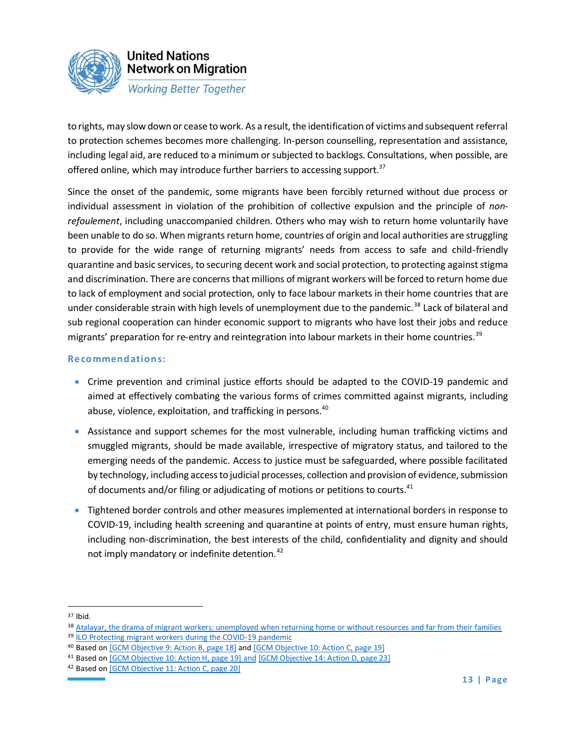

to rights, may slow down or cease to work. As a result, the identification of victims and subsequent referral to protection schemes becomes more challenging. In-person counselling, representation and assistance, including legal aid, are reduced to a minimum or subjected to backlogs. Consultations, when possible, are offered online, which may introduce further barriers to accessing support.<sup>37</sup>

Since the onset of the pandemic, some migrants have been forcibly returned without due process or individual assessment in violation of the prohibition of collective expulsion and the principle of *nonrefoulement*, including unaccompanied children. Others who may wish to return home voluntarily have been unable to do so. When migrants return home, countries of origin and local authorities are struggling to provide for the wide range of returning migrants' needs from access to safe and child-friendly quarantine and basic services, to securing decent work and social protection, to protecting against stigma and discrimination. There are concerns that millions of migrant workers will be forced to return home due to lack of employment and social protection, only to face labour markets in their home countries that are under considerable strain with high levels of unemployment due to the pandemic.<sup>38</sup> Lack of bilateral and sub regional cooperation can hinder economic support to migrants who have lost their jobs and reduce migrants' preparation for re-entry and reintegration into labour markets in their home countries.<sup>39</sup>

- Crime prevention and criminal justice efforts should be adapted to the COVID-19 pandemic and aimed at effectively combating the various forms of crimes committed against migrants, including abuse, violence, exploitation, and trafficking in persons.<sup>40</sup>
- Assistance and support schemes for the most vulnerable, including human trafficking victims and smuggled migrants, should be made available, irrespective of migratory status, and tailored to the emerging needs of the pandemic. Access to justice must be safeguarded, where possible facilitated by technology, including access to judicial processes, collection and provision of evidence, submission of documents and/or filing or adjudicating of motions or petitions to courts.<sup>41</sup>
- Tightened border controls and other measures implemented at international borders in response to COVID-19, including health screening and quarantine at points of entry, must ensure human rights, including non-discrimination, the best interests of the child, confidentiality and dignity and should not imply mandatory or indefinite detention.<sup>42</sup>

<sup>37</sup> Ibid.

<sup>38</sup> [Atalayar, the drama of migrant workers: unemployed when returning home or without resources and far from their families](https://atalayar.com/en/content/drama-migrant-workers-unemployed-when-returning-home-or-without-resources-and-far-their)

<sup>39</sup> [ILO Protecting migrant workers during the COVID-19 pandemic](https://www.ilo.org/wcmsp5/groups/public/---ed_protect/---protrav/---migrant/documents/publication/wcms_743268.pdf)

<sup>40</sup> Based on [GCM Objective 9: Action B, page 18] [and \[GCM Objective 10: Action C, page 19\]](https://migrationnetwork.un.org/sites/default/files/docs/gcm-n1845199.pdf)

<sup>&</sup>lt;sup>41</sup> Based o[n \[GCM Objective 10: Action H, page 19\]](https://migrationnetwork.un.org/sites/default/files/docs/gcm-n1845199.pdf) and [\[GCM Objective 14: Action D, page 23\]](https://migrationnetwork.un.org/sites/default/files/docs/gcm-n1845199.pdf)

<sup>42</sup> Based on [\[GCM Objective 11: Action C, page 20\]](https://migrationnetwork.un.org/sites/default/files/docs/gcm-n1845199.pdf)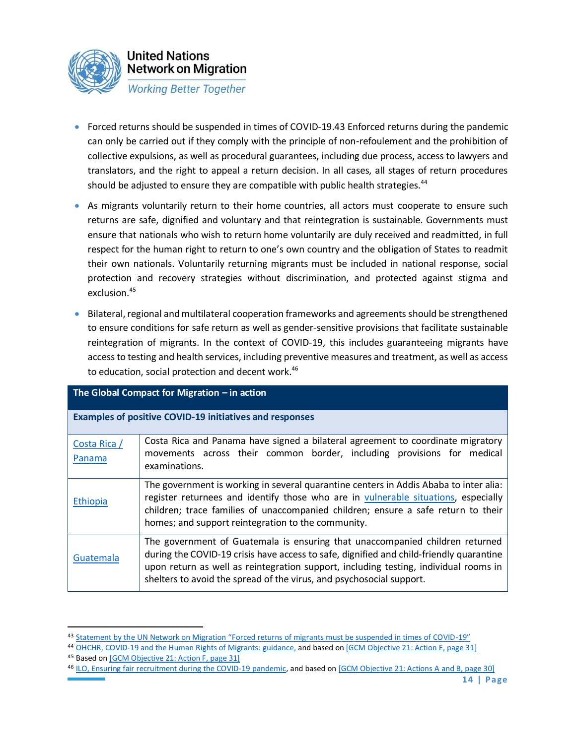

- Forced returns should be suspended in times of COVID-19.43 Enforced returns during the pandemic can only be carried out if they comply with the principle of non-refoulement and the prohibition of collective expulsions, as well as procedural guarantees, including due process, access to lawyers and translators, and the right to appeal a return decision. In all cases, all stages of return procedures should be adjusted to ensure they are compatible with public health strategies.<sup>44</sup>
- As migrants voluntarily return to their home countries, all actors must cooperate to ensure such returns are safe, dignified and voluntary and that reintegration is sustainable. Governments must ensure that nationals who wish to return home voluntarily are duly received and readmitted, in full respect for the human right to return to one's own country and the obligation of States to readmit their own nationals. Voluntarily returning migrants must be included in national response, social protection and recovery strategies without discrimination, and protected against stigma and exclusion.<sup>45</sup>
- Bilateral, regional and multilateral cooperation frameworks and agreements should be strengthened to ensure conditions for safe return as well as gender-sensitive provisions that facilitate sustainable reintegration of migrants. In the context of COVID-19, this includes guaranteeing migrants have access to testing and health services, including preventive measures and treatment, as well as access to education, social protection and decent work.<sup>46</sup>

| The Global Compact for Migration $-$ in action |                                                                                                                                                                                                                                                                                                                                         |  |
|------------------------------------------------|-----------------------------------------------------------------------------------------------------------------------------------------------------------------------------------------------------------------------------------------------------------------------------------------------------------------------------------------|--|
|                                                | <b>Examples of positive COVID-19 initiatives and responses</b>                                                                                                                                                                                                                                                                          |  |
| Costa Rica /<br>Panama                         | Costa Rica and Panama have signed a bilateral agreement to coordinate migratory<br>movements across their common border, including provisions for medical<br>examinations.                                                                                                                                                              |  |
| Ethiopia                                       | The government is working in several quarantine centers in Addis Ababa to inter alia:<br>register returnees and identify those who are in vulnerable situations, especially<br>children; trace families of unaccompanied children; ensure a safe return to their<br>homes; and support reintegration to the community.                  |  |
| Guatemala                                      | The government of Guatemala is ensuring that unaccompanied children returned<br>during the COVID-19 crisis have access to safe, dignified and child-friendly quarantine<br>upon return as well as reintegration support, including testing, individual rooms in<br>shelters to avoid the spread of the virus, and psychosocial support. |  |

<sup>43</sup> [Statement by the UN Network on Migration "Forced returns of migrants must be suspended in times of COVID](https://migrationnetwork.un.org/sites/default/files/network_statement_forced_returns_-_13_may_2020.pdf)-19"

<sup>44</sup> [OHCHR, COVID-19 and the Human Rights of Migrants: guidance,](https://www.ohchr.org/Documents/Issues/Migration/OHCHRGuidance_COVID19_Migrants.pdf) and based on [\[GCM Objective 21: Action E, page 31\]](https://migrationnetwork.un.org/sites/default/files/docs/gcm-n1845199.pdf) 45 Based o[n \[GCM Objective 21: Action F, page 31\]](https://migrationnetwork.un.org/sites/default/files/docs/gcm-n1845199.pdf)

<sup>46</sup> [ILO, Ensuring fair recruitment during the COVID-19 pandemic,](https://www.ilo.org/wcmsp5/groups/public/---ed_protect/---protrav/---migrant/documents/publication/wcms_748839.pdf) and based o[n \[GCM Objective 21: Actions A and B, page 30\]](https://migrationnetwork.un.org/sites/default/files/docs/gcm-n1845199.pdf)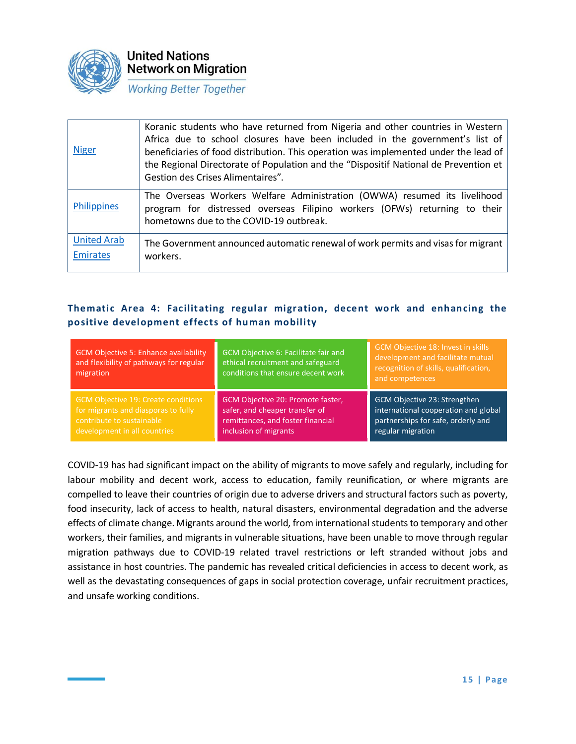

| <b>Niger</b>                   | Koranic students who have returned from Nigeria and other countries in Western<br>Africa due to school closures have been included in the government's list of<br>beneficiaries of food distribution. This operation was implemented under the lead of<br>the Regional Directorate of Population and the "Dispositif National de Prevention et<br>Gestion des Crises Alimentaires". |
|--------------------------------|-------------------------------------------------------------------------------------------------------------------------------------------------------------------------------------------------------------------------------------------------------------------------------------------------------------------------------------------------------------------------------------|
| Philippines                    | The Overseas Workers Welfare Administration (OWWA) resumed its livelihood<br>program for distressed overseas Filipino workers (OFWs) returning to their<br>hometowns due to the COVID-19 outbreak.                                                                                                                                                                                  |
| <b>United Arab</b><br>Emirates | The Government announced automatic renewal of work permits and visas for migrant<br>workers.                                                                                                                                                                                                                                                                                        |

### **Thematic Area 4: Facilitating regular migration, decent work and enhancing the positive development effects of human mobility**

| <b>GCM Objective 5: Enhance availability</b><br>and flexibility of pathways for regular<br>migration | GCM Objective 6: Facilitate fair and<br>ethical recruitment and safeguard<br>conditions that ensure decent work | GCM Objective 18: Invest in skills<br>development and facilitate mutual<br>recognition of skills, qualification,<br>and competences |
|------------------------------------------------------------------------------------------------------|-----------------------------------------------------------------------------------------------------------------|-------------------------------------------------------------------------------------------------------------------------------------|
| <b>GCM Objective 19: Create conditions</b>                                                           | GCM Objective 20: Promote faster,                                                                               | GCM Objective 23: Strengthen                                                                                                        |
| for migrants and diasporas to fully                                                                  | safer, and cheaper transfer of                                                                                  | international cooperation and global                                                                                                |
| contribute to sustainable                                                                            | remittances, and foster financial                                                                               | partnerships for safe, orderly and                                                                                                  |
| development in all countries                                                                         | inclusion of migrants                                                                                           | regular migration                                                                                                                   |

COVID-19 has had significant impact on the ability of migrants to move safely and regularly, including for labour mobility and decent work, access to education, family reunification, or where migrants are compelled to leave their countries of origin due to adverse drivers and structural factors such as poverty, food insecurity, lack of access to health, natural disasters, environmental degradation and the adverse effects of climate change. Migrants around the world, from international students to temporary and other workers, their families, and migrants in vulnerable situations, have been unable to move through regular migration pathways due to COVID-19 related travel restrictions or left stranded without jobs and assistance in host countries. The pandemic has revealed critical deficiencies in access to decent work, as well as the devastating consequences of gaps in social protection coverage, unfair recruitment practices, and unsafe working conditions.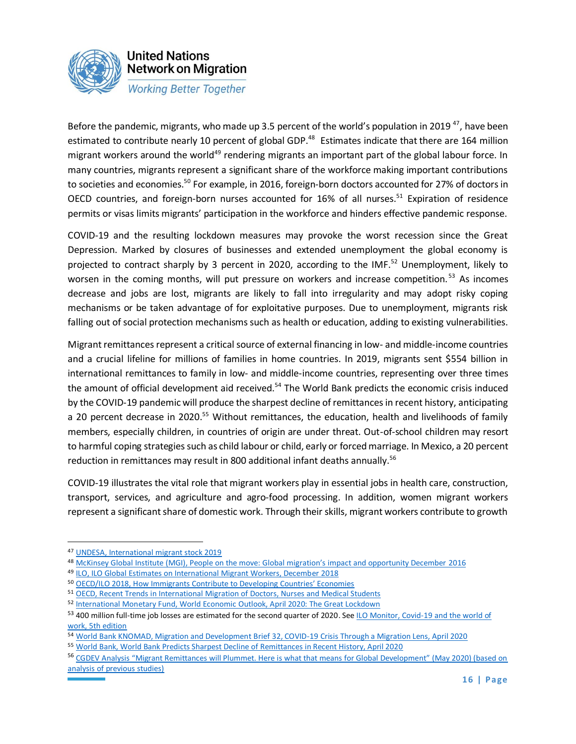

Before the pandemic, migrants, who made up 3.5 percent of the world's population in 2019<sup>47</sup>, have been estimated to contribute nearly 10 percent of global GDP.<sup>48</sup> Estimates indicate that there are 164 million migrant workers around the world<sup>49</sup> rendering migrants an important part of the global labour force. In many countries, migrants represent a significant share of the workforce making important contributions to societies and economies.<sup>50</sup> For example, in 2016, foreign-born doctors accounted for 27% of doctors in OECD countries, and foreign-born nurses accounted for 16% of all nurses.<sup>51</sup> Expiration of residence permits or visas limits migrants' participation in the workforce and hinders effective pandemic response.

COVID-19 and the resulting lockdown measures may provoke the worst recession since the Great Depression. Marked by closures of businesses and extended unemployment the global economy is projected to contract sharply by 3 percent in 2020, according to the IMF.<sup>52</sup> Unemployment, likely to worsen in the coming months, will put pressure on workers and increase competition.<sup>53</sup> As incomes decrease and jobs are lost, migrants are likely to fall into irregularity and may adopt risky coping mechanisms or be taken advantage of for exploitative purposes. Due to unemployment, migrants risk falling out of social protection mechanisms such as health or education, adding to existing vulnerabilities.

Migrant remittances represent a critical source of external financing in low- and middle-income countries and a crucial lifeline for millions of families in home countries. In 2019, migrants sent \$554 billion in international remittances to family in low- and middle-income countries, representing over three times the amount of official development aid received.<sup>54</sup> The World Bank predicts the economic crisis induced by the COVID-19 pandemic will produce the sharpest decline of remittances in recent history, anticipating a 20 percent decrease in 2020.<sup>55</sup> Without remittances, the education, health and livelihoods of family members, especially children, in countries of origin are under threat. Out-of-school children may resort to harmful coping strategies such as child labour or child, early or forced marriage. In Mexico, a 20 percent reduction in remittances may result in 800 additional infant deaths annually.<sup>56</sup>

COVID-19 illustrates the vital role that migrant workers play in essential jobs in health care, construction, transport, services, and agriculture and agro-food processing. In addition, women migrant workers represent a significant share of domestic work. Through their skills, migrant workers contribute to growth

<sup>47</sup> [UNDESA, International migrant stock 2019](https://www.un.org/en/development/desa/population/migration/publications/migrationreport/docs/MigrationStock2019_TenKeyFindings.pdf)

<sup>48</sup> McKinsey Global Institute [\(MGI\), People on the move: Global migration's impact and opportunity December](https://www.mckinsey.com/~/media/McKinsey/Featured%20Insights/Employment%20and%20Growth/Global%20migrations%20impact%20and%20opportunity/MGI-People-on-the-Move-Executive-summary-December-2016.ashx) 2016

<sup>49</sup> [ILO, ILO Global Estimates on International Migrant Workers, December 2018](https://www.ilo.org/global/publications/books/WCMS_652001/lang--en/index.htm)

<sup>50</sup> [OECD/ILO 2018, How Immigrants Contribute to Developing Countries' Economies](https://www.oecd-ilibrary.org/docserver/9789264288737-en.pdf?expires=1589302077&id=id&accname=guest&checksum=3FB360A4DC102FF61323DD0832B7F5DE)

<sup>51</sup> [OECD, Recent Trends in International Migration of Doctors, Nurses and Medical Students](https://www.oecd-ilibrary.org/docserver/5571ef48-en.pdf?expires=1586883813&id=id&accname=guest&checksum=DD4C77AB54BD8CE846E490DAE8C0208F)

<sup>52</sup> [International Monetary Fund, World Economic Outlook, April 2020: The Great Lockdown](https://www.imf.org/en/Publications/WEO/Issues/2020/04/14/weo-april-2020)

<sup>53 400</sup> million full-time job losses are estimated for the second quarter of 2020. See ILO Monitor, Covid-19 and the world of [work, 5th edition](https://www.ilo.org/global/topics/coronavirus/impacts-and-responses/WCMS_749399/lang--en/index.htm)

<sup>54</sup> [World Bank KNOMAD, Migration and Development Brief 32, COVID-19 Crisis Through a Migration Lens, April 2020](https://www.knomad.org/publication/migration-and-development-brief-32-covid-19-crisis-through-migration-lens)

<sup>55</sup> [World Bank, World Bank Predicts Sharpest Decline of Remittances in Recent History, April 2020](https://www.worldbank.org/en/news/press-release/2020/04/22/world-bank-predicts-sharpest-decline-of-remittances-in-recent-history)

<sup>&</sup>lt;sup>56</sup> CGDEV Analysis "Migrant Remittances will Plummet. Here is what that means for Global Development" (May 2020) (based on [analysis of previous studies\)](https://www.cgdev.org/blog/migrant-remittances-will-plummet-here-what-means-global-development)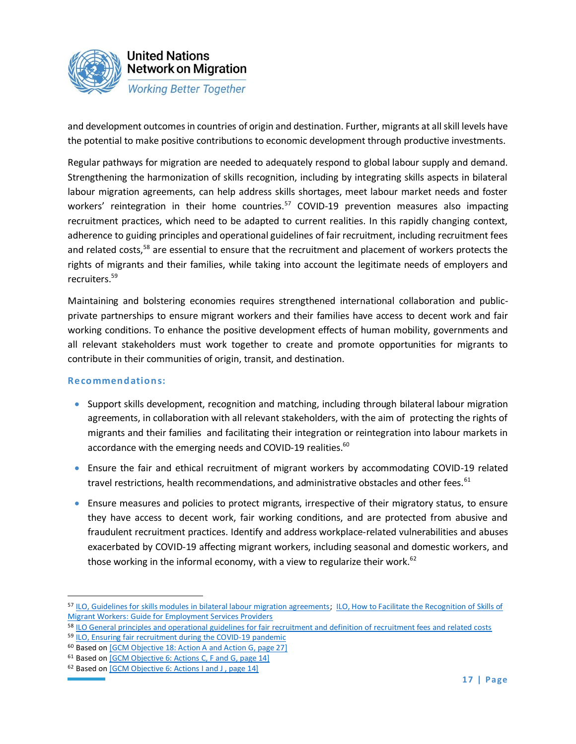

and development outcomes in countries of origin and destination. Further, migrants at all skill levels have the potential to make positive contributions to economic development through productive investments.

Regular pathways for migration are needed to adequately respond to global labour supply and demand. Strengthening the harmonization of skills recognition, including by integrating skills aspects in bilateral labour migration agreements, can help address skills shortages, meet labour market needs and foster workers' reintegration in their home countries.<sup>57</sup> COVID-19 prevention measures also impacting recruitment practices, which need to be adapted to current realities. In this rapidly changing context, adherence to guiding principles and operational guidelines of fair recruitment, including recruitment fees and related costs,<sup>58</sup> are essential to ensure that the recruitment and placement of workers protects the rights of migrants and their families, while taking into account the legitimate needs of employers and recruiters.<sup>59</sup>

Maintaining and bolstering economies requires strengthened international collaboration and publicprivate partnerships to ensure migrant workers and their families have access to decent work and fair working conditions. To enhance the positive development effects of human mobility, governments and all relevant stakeholders must work together to create and promote opportunities for migrants to contribute in their communities of origin, transit, and destination.

- Support skills development, recognition and matching, including through bilateral labour migration agreements, in collaboration with all relevant stakeholders, with the aim of protecting the rights of migrants and their families and facilitating their integration or reintegration into labour markets in accordance with the emerging needs and COVID-19 realities.<sup>60</sup>
- Ensure the fair and ethical recruitment of migrant workers by accommodating COVID-19 related travel restrictions, health recommendations, and administrative obstacles and other fees.<sup>61</sup>
- Ensure measures and policies to protect migrants, irrespective of their migratory status, to ensure they have access to decent work, fair working conditions, and are protected from abusive and fraudulent recruitment practices. Identify and address workplace-related vulnerabilities and abuses exacerbated by COVID-19 affecting migrant workers, including seasonal and domestic workers, and those working in the informal economy, with a view to regularize their work.<sup>62</sup>

<sup>57</sup> [ILO, Guidelines for skills modules in bilateral labour migration agreements;](https://www.ilo.org/global/topics/labour-migration/publications/WCMS_748723/lang--en/index.htm) [ILO, How to Facilitate the Recognition of Skills of](https://www.ilo.org/global/topics/labour-migration/publications/WCMS_748721/lang--en/index.htm)  [Migrant Workers: Guide for Employment Services Providers](https://www.ilo.org/global/topics/labour-migration/publications/WCMS_748721/lang--en/index.htm)

<sup>58</sup> [ILO General principles and operational guidelines for fair recruitment and definition of recruitment fees and related costs](https://www.ilo.org/global/topics/fair-recruitment/WCMS_536755/lang--en/index.htm)

<sup>59</sup> [ILO, Ensuring fair recruitment during the COVID-19 pandemic](https://www.ilo.org/wcmsp5/groups/public/---ed_protect/---protrav/---migrant/documents/publication/wcms_748839.pdf)

<sup>60</sup> Based o[n \[GCM Objective 18: Action A and](https://migrationnetwork.un.org/sites/default/files/docs/gcm-n1845199.pdf) Action G, page 27]

<sup>61</sup> Based o[n \[GCM Objective 6: Actions C, F and G, page 14\]](https://migrationnetwork.un.org/sites/default/files/docs/gcm-n1845199.pdf)

<sup>62</sup> Based o[n \[GCM Objective 6: Actions I and J , page 14\]](https://migrationnetwork.un.org/sites/default/files/docs/gcm-n1845199.pdf)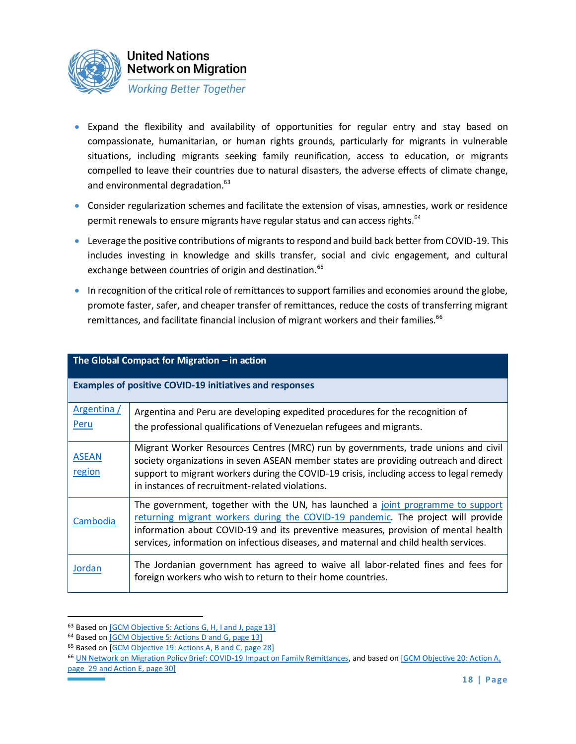

- Expand the flexibility and availability of opportunities for regular entry and stay based on compassionate, humanitarian, or human rights grounds, particularly for migrants in vulnerable situations, including migrants seeking family reunification, access to education, or migrants compelled to leave their countries due to natural disasters, the adverse effects of climate change, and environmental degradation.<sup>63</sup>
- Consider regularization schemes and facilitate the extension of visas, amnesties, work or residence permit renewals to ensure migrants have regular status and can access rights.<sup>64</sup>
- Leverage the positive contributions of migrants to respond and build back better from COVID-19. This includes investing in knowledge and skills transfer, social and civic engagement, and cultural exchange between countries of origin and destination.<sup>65</sup>
- In recognition of the critical role of remittances to support families and economies around the globe, promote faster, safer, and cheaper transfer of remittances, reduce the costs of transferring migrant remittances, and facilitate financial inclusion of migrant workers and their families.<sup>66</sup>

| The Global Compact for Migration – in action |                                                                                                                                                                                                                                                                                                                                                    |  |
|----------------------------------------------|----------------------------------------------------------------------------------------------------------------------------------------------------------------------------------------------------------------------------------------------------------------------------------------------------------------------------------------------------|--|
|                                              | <b>Examples of positive COVID-19 initiatives and responses</b>                                                                                                                                                                                                                                                                                     |  |
| Argentina /<br>Peru                          | Argentina and Peru are developing expedited procedures for the recognition of<br>the professional qualifications of Venezuelan refugees and migrants.                                                                                                                                                                                              |  |
| <b>ASEAN</b><br>region                       | Migrant Worker Resources Centres (MRC) run by governments, trade unions and civil<br>society organizations in seven ASEAN member states are providing outreach and direct<br>support to migrant workers during the COVID-19 crisis, including access to legal remedy<br>in instances of recruitment-related violations.                            |  |
| Cambodia                                     | The government, together with the UN, has launched a joint programme to support<br>returning migrant workers during the COVID-19 pandemic. The project will provide<br>information about COVID-19 and its preventive measures, provision of mental health<br>services, information on infectious diseases, and maternal and child health services. |  |
| Jordan                                       | The Jordanian government has agreed to waive all labor-related fines and fees for<br>foreign workers who wish to return to their home countries.                                                                                                                                                                                                   |  |

**The Global Compact for Migration – in action** 

<sup>63</sup> Based o[n \[GCM Objective 5: Actions G, H, I and J, page 13\]](https://migrationnetwork.un.org/sites/default/files/docs/gcm-n1845199.pdf)

<sup>64</sup> Based o[n \[GCM Objective 5: Actions D and G, page 13\]](https://migrationnetwork.un.org/sites/default/files/docs/gcm-n1845199.pdf)

<sup>65</sup> Based on [\[GCM Objective 19: Actions A, B and C, page 28\]](https://migrationnetwork.un.org/sites/default/files/docs/gcm-n1845199.pdf)

<sup>66</sup> [UN Network on Migration Policy Brief: COVID-19 Impact on Family Remittances,](https://migrationnetwork.un.org/sites/default/files/policy_brief-_remittances_in_the_time_of_covid-19.pdf) and based on [GCM Objective 20: Action A, [page 29 and Action E, page 30\]](https://migrationnetwork.un.org/sites/default/files/docs/gcm-n1845199.pdf)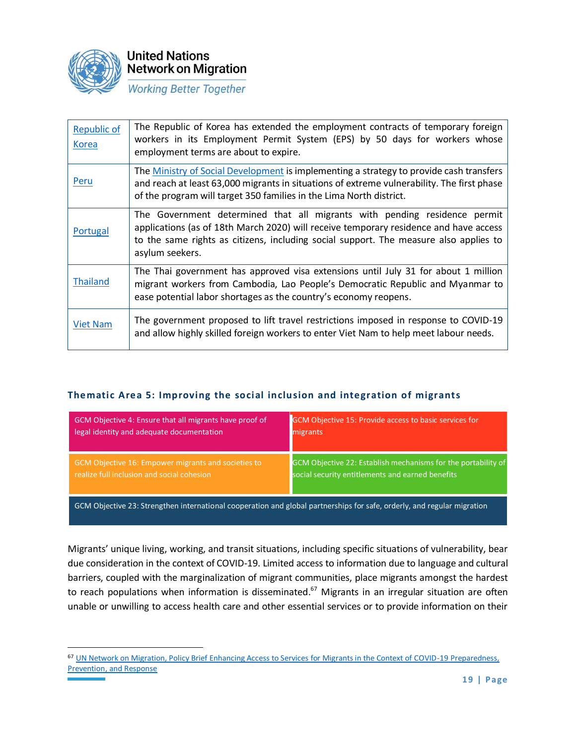

**United Nations Network on Migration** 

**Working Better Together** 

| <b>Republic of</b><br><b>Korea</b> | The Republic of Korea has extended the employment contracts of temporary foreign<br>workers in its Employment Permit System (EPS) by 50 days for workers whose<br>employment terms are about to expire.                                                                        |
|------------------------------------|--------------------------------------------------------------------------------------------------------------------------------------------------------------------------------------------------------------------------------------------------------------------------------|
| Peru                               | The Ministry of Social Development is implementing a strategy to provide cash transfers<br>and reach at least 63,000 migrants in situations of extreme vulnerability. The first phase<br>of the program will target 350 families in the Lima North district.                   |
| Portugal                           | The Government determined that all migrants with pending residence permit<br>applications (as of 18th March 2020) will receive temporary residence and have access<br>to the same rights as citizens, including social support. The measure also applies to<br>asylum seekers. |
| <b>Thailand</b>                    | The Thai government has approved visa extensions until July 31 for about 1 million<br>migrant workers from Cambodia, Lao People's Democratic Republic and Myanmar to<br>ease potential labor shortages as the country's economy reopens.                                       |
| <b>Viet Nam</b>                    | The government proposed to lift travel restrictions imposed in response to COVID-19<br>and allow highly skilled foreign workers to enter Viet Nam to help meet labour needs.                                                                                                   |

### **Thematic Area 5: Improving the social inclusion and integration of migrants**

| GCM Objective 4: Ensure that all migrants have proof of | GCM Objective 15: Provide access to basic services for        |
|---------------------------------------------------------|---------------------------------------------------------------|
| legal identity and adequate documentation               | migrants                                                      |
| GCM Objective 16: Empower migrants and societies to     | GCM Objective 22: Establish mechanisms for the portability of |
| realize full inclusion and social cohesion              | social security entitlements and earned benefits              |

GCM Objective 23: Strengthen international cooperation and global partnerships for safe, orderly, and regular migration

Migrants' unique living, working, and transit situations, including specific situations of vulnerability, bear due consideration in the context of COVID-19. Limited access to information due to language and cultural barriers, coupled with the marginalization of migrant communities, place migrants amongst the hardest to reach populations when information is disseminated.<sup>67</sup> Migrants in an irregular situation are often unable or unwilling to access health care and other essential services or to provide information on their

<sup>67</sup> [UN Network on Migration, Policy Brief Enhancing Access to Services for Migrants in the Context of COVID-19 Preparedness,](https://migrationnetwork.un.org/sites/default/files/docs/final_network_wg_policy_brief_covid-19_and_access_to_services_1.pdf)  [Prevention, and Response](https://migrationnetwork.un.org/sites/default/files/docs/final_network_wg_policy_brief_covid-19_and_access_to_services_1.pdf)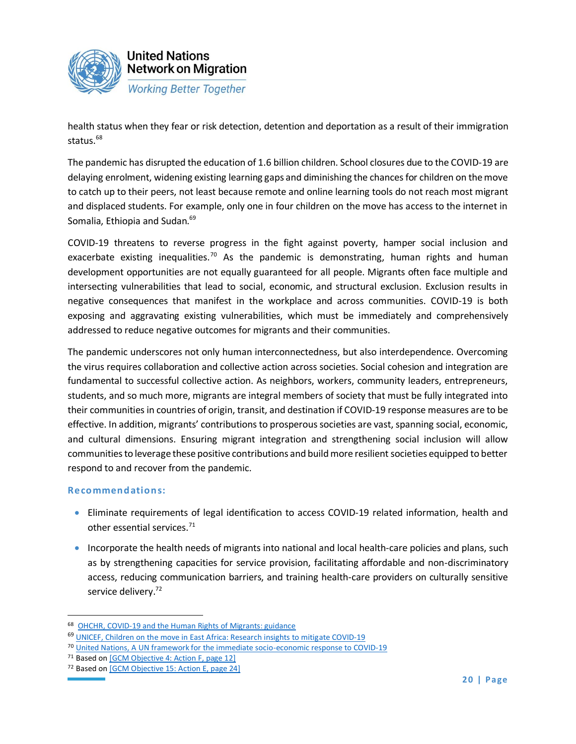

health status when they fear or risk detection, detention and deportation as a result of their immigration status.<sup>68</sup>

The pandemic has disrupted the education of 1.6 billion children. School closures due to the COVID-19 are delaying enrolment, widening existing learning gaps and diminishing the chances for children on the move to catch up to their peers, not least because remote and online learning tools do not reach most migrant and displaced students. For example, only one in four children on the move has access to the internet in Somalia, Ethiopia and Sudan.<sup>69</sup>

COVID-19 threatens to reverse progress in the fight against poverty, hamper social inclusion and exacerbate existing inequalities.<sup>70</sup> As the pandemic is demonstrating, human rights and human development opportunities are not equally guaranteed for all people. Migrants often face multiple and intersecting vulnerabilities that lead to social, economic, and structural exclusion. Exclusion results in negative consequences that manifest in the workplace and across communities. COVID-19 is both exposing and aggravating existing vulnerabilities, which must be immediately and comprehensively addressed to reduce negative outcomes for migrants and their communities.

The pandemic underscores not only human interconnectedness, but also interdependence. Overcoming the virus requires collaboration and collective action across societies. Social cohesion and integration are fundamental to successful collective action. As neighbors, workers, community leaders, entrepreneurs, students, and so much more, migrants are integral members of society that must be fully integrated into their communities in countries of origin, transit, and destination if COVID-19 response measures are to be effective. In addition, migrants' contributions to prosperous societies are vast, spanning social, economic, and cultural dimensions. Ensuring migrant integration and strengthening social inclusion will allow communities to leverage these positive contributions and build more resilient societies equipped to better respond to and recover from the pandemic.

- Eliminate requirements of legal identification to access COVID-19 related information, health and other essential services.<sup>71</sup>
- Incorporate the health needs of migrants into national and local health-care policies and plans, such as by strengthening capacities for service provision, facilitating affordable and non-discriminatory access, reducing communication barriers, and training health-care providers on culturally sensitive service delivery.<sup>72</sup>

<sup>68</sup> [OHCHR, COVID-19 and the Human Rights of Migrants: guidance](https://www.ohchr.org/Documents/Issues/Migration/OHCHRGuidance_COVID19_Migrants.pdf)

<sup>69</sup> [UNICEF, Children on the move in East Africa: Research insights to mitigate COVID-19](https://blogs.unicef.org/evidence-for-action/children-on-the-move-in-east-africa-research-insights-to-mitigate-covid-19/)

<sup>70</sup> [United Nations, A UN framework for the immediate socio-economic response to COVID-19](https://unsdg.un.org/sites/default/files/2020-04/UN-framework-for-the-immediate-socio-economic-response-to-COVID-19.pdf)

<sup>&</sup>lt;sup>71</sup> Based o[n \[GCM Objective 4: Action F, page 12\]](https://migrationnetwork.un.org/sites/default/files/docs/gcm-n1845199.pdf)

<sup>72</sup> Based on [\[GCM Objective 15: Action E, page 24\]](https://migrationnetwork.un.org/sites/default/files/docs/gcm-n1845199.pdf)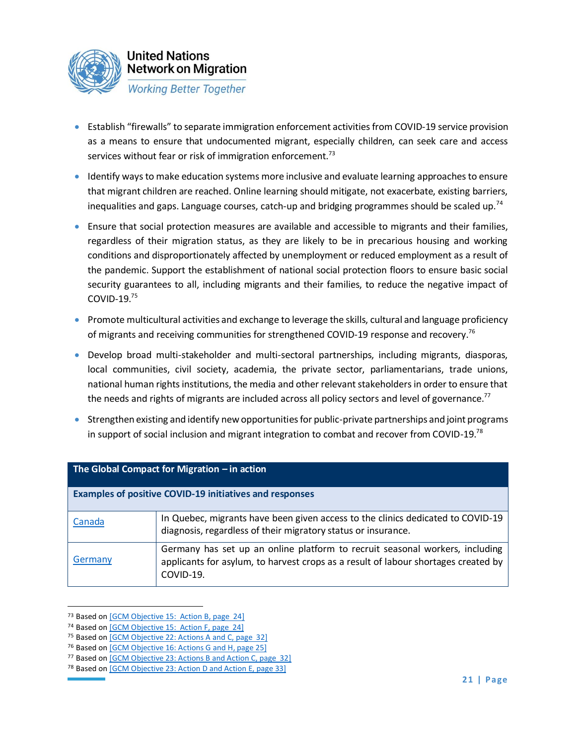

- Establish "firewalls" to separate immigration enforcement activities from COVID-19 service provision as a means to ensure that undocumented migrant, especially children, can seek care and access services without fear or risk of immigration enforcement.<sup>73</sup>
- Identify ways to make education systems more inclusive and evaluate learning approaches to ensure that migrant children are reached. Online learning should mitigate, not exacerbate, existing barriers, inequalities and gaps. Language courses, catch-up and bridging programmes should be scaled up.<sup>74</sup>
- Ensure that social protection measures are available and accessible to migrants and their families, regardless of their migration status, as they are likely to be in precarious housing and working conditions and disproportionately affected by unemployment or reduced employment as a result of the pandemic. Support the establishment of national social protection floors to ensure basic social security guarantees to all, including migrants and their families, to reduce the negative impact of COVID-19.<sup>75</sup>
- Promote multicultural activities and exchange to leverage the skills, cultural and language proficiency of migrants and receiving communities for strengthened COVID-19 response and recovery.<sup>76</sup>
- Develop broad multi-stakeholder and multi-sectoral partnerships, including migrants, diasporas, local communities, civil society, academia, the private sector, parliamentarians, trade unions, national human rights institutions, the media and other relevant stakeholders in order to ensure that the needs and rights of migrants are included across all policy sectors and level of governance.<sup>77</sup>
- Strengthen existing and identify new opportunities for public-private partnerships and joint programs in support of social inclusion and migrant integration to combat and recover from COVID-19.<sup>78</sup>

| The Global Compact for Migration $-$ in action                 |                                                                                                                                                                                 |  |
|----------------------------------------------------------------|---------------------------------------------------------------------------------------------------------------------------------------------------------------------------------|--|
| <b>Examples of positive COVID-19 initiatives and responses</b> |                                                                                                                                                                                 |  |
| Canada                                                         | In Quebec, migrants have been given access to the clinics dedicated to COVID-19<br>diagnosis, regardless of their migratory status or insurance.                                |  |
| Germany                                                        | Germany has set up an online platform to recruit seasonal workers, including<br>applicants for asylum, to harvest crops as a result of labour shortages created by<br>COVID-19. |  |

<sup>&</sup>lt;sup>73</sup> Based o[n \[GCM Objective 15: Action B, page 24\]](https://migrationnetwork.un.org/sites/default/files/docs/gcm-n1845199.pdf)

<sup>74</sup> Based o[n \[GCM Objective 15: Action F, page 24\]](https://migrationnetwork.un.org/sites/default/files/docs/gcm-n1845199.pdf)

<sup>75</sup> Based o[n \[GCM Objective 22: Actions A and C, page 32\]](https://migrationnetwork.un.org/sites/default/files/docs/gcm-n1845199.pdf)

<sup>76</sup> Based on [\[GCM Objective 16: Actions G and H, page 25\]](https://migrationnetwork.un.org/sites/default/files/docs/gcm-n1845199.pdf)

<sup>77</sup> Based o[n \[GCM Objective 23: Actions B and Action C, page 32\]](https://migrationnetwork.un.org/sites/default/files/docs/gcm-n1845199.pdf)

<sup>&</sup>lt;sup>78</sup> Based o[n \[GCM Objective 23: Action D and Action E, page 33\]](https://migrationnetwork.un.org/sites/default/files/docs/gcm-n1845199.pdf)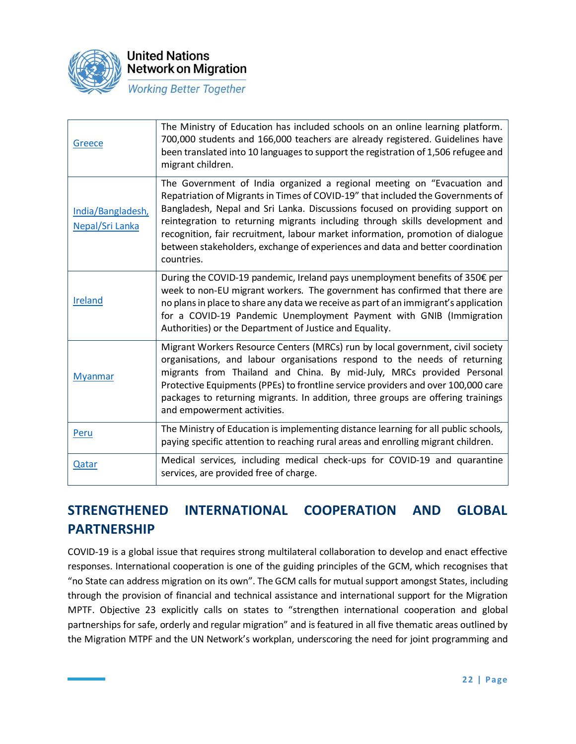

| Greece                               | The Ministry of Education has included schools on an online learning platform.<br>700,000 students and 166,000 teachers are already registered. Guidelines have<br>been translated into 10 languages to support the registration of 1,506 refugee and<br>migrant children.                                                                                                                                                                                                                                    |
|--------------------------------------|---------------------------------------------------------------------------------------------------------------------------------------------------------------------------------------------------------------------------------------------------------------------------------------------------------------------------------------------------------------------------------------------------------------------------------------------------------------------------------------------------------------|
| India/Bangladesh,<br>Nepal/Sri Lanka | The Government of India organized a regional meeting on "Evacuation and<br>Repatriation of Migrants in Times of COVID-19" that included the Governments of<br>Bangladesh, Nepal and Sri Lanka. Discussions focused on providing support on<br>reintegration to returning migrants including through skills development and<br>recognition, fair recruitment, labour market information, promotion of dialogue<br>between stakeholders, exchange of experiences and data and better coordination<br>countries. |
| <b>Ireland</b>                       | During the COVID-19 pandemic, Ireland pays unemployment benefits of 350€ per<br>week to non-EU migrant workers. The government has confirmed that there are<br>no plans in place to share any data we receive as part of an immigrant's application<br>for a COVID-19 Pandemic Unemployment Payment with GNIB (Immigration<br>Authorities) or the Department of Justice and Equality.                                                                                                                         |
| <b>Myanmar</b>                       | Migrant Workers Resource Centers (MRCs) run by local government, civil society<br>organisations, and labour organisations respond to the needs of returning<br>migrants from Thailand and China. By mid-July, MRCs provided Personal<br>Protective Equipments (PPEs) to frontline service providers and over 100,000 care<br>packages to returning migrants. In addition, three groups are offering trainings<br>and empowerment activities.                                                                  |
| Peru                                 | The Ministry of Education is implementing distance learning for all public schools,<br>paying specific attention to reaching rural areas and enrolling migrant children.                                                                                                                                                                                                                                                                                                                                      |
| Qatar                                | Medical services, including medical check-ups for COVID-19 and quarantine<br>services, are provided free of charge.                                                                                                                                                                                                                                                                                                                                                                                           |

# **STRENGTHENED INTERNATIONAL COOPERATION AND GLOBAL PARTNERSHIP**

COVID-19 is a global issue that requires strong multilateral collaboration to develop and enact effective responses. International cooperation is one of the guiding principles of the GCM, which recognises that "no State can address migration on its own". The GCM calls for mutual support amongst States, including through the provision of financial and technical assistance and international support for the Migration MPTF. Objective 23 explicitly calls on states to "strengthen international cooperation and global partnerships for safe, orderly and regular migration" and is featured in all five thematic areas outlined by the Migration MTPF and the UN Network's workplan, underscoring the need for joint programming and